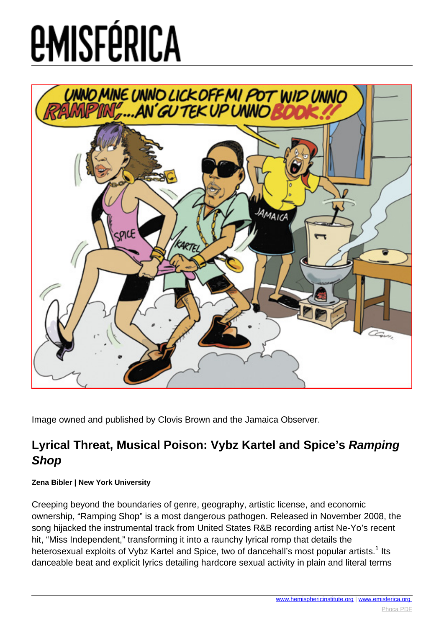

Image owned and published by Clovis Brown and the Jamaica Observer.

### **Lyrical Threat, Musical Poison: Vybz Kartel and Spice's Ramping Shop**

#### **Zena Bibler | New York University**

Creeping beyond the boundaries of genre, geography, artistic license, and economic ownership, "Ramping Shop" is a most dangerous pathogen. Released in November 2008, the song hijacked the instrumental track from United States R&B recording artist Ne-Yo's recent hit, "Miss Independent," transforming it into a raunchy lyrical romp that details the heterosexual exploits of Vybz Kartel and Spice, two of dancehall's most popular artists.<sup>1</sup> Its danceable beat and explicit lyrics detailing hardcore sexual activity in plain and literal terms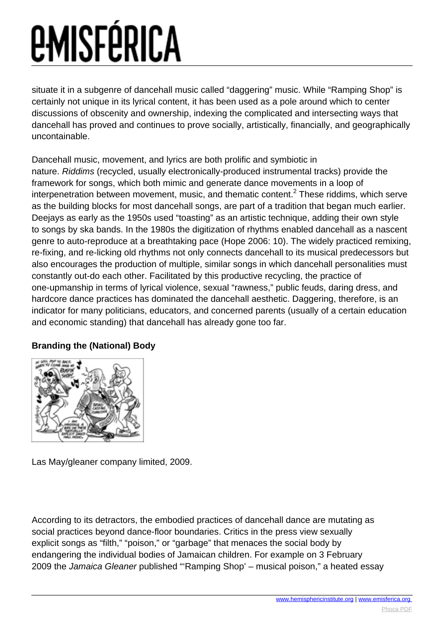situate it in a subgenre of dancehall music called "daggering" music. While "Ramping Shop" is certainly not unique in its lyrical content, it has been used as a pole around which to center discussions of obscenity and ownership, indexing the complicated and intersecting ways that dancehall has proved and continues to prove socially, artistically, financially, and geographically uncontainable.

Dancehall music, movement, and lyrics are both prolific and symbiotic in nature. Riddims (recycled, usually electronically-produced instrumental tracks) provide the framework for songs, which both mimic and generate dance movements in a loop of interpenetration between movement, music, and thematic content.<sup>2</sup> These riddims, which serve as the building blocks for most dancehall songs, are part of a tradition that began much earlier. Deejays as early as the 1950s used "toasting" as an artistic technique, adding their own style to songs by ska bands. In the 1980s the digitization of rhythms enabled dancehall as a nascent genre to auto-reproduce at a breathtaking pace (Hope 2006: 10). The widely practiced remixing, re-fixing, and re-licking old rhythms not only connects dancehall to its musical predecessors but also encourages the production of multiple, similar songs in which dancehall personalities must constantly out-do each other. Facilitated by this productive recycling, the practice of one-upmanship in terms of lyrical violence, sexual "rawness," public feuds, daring dress, and hardcore dance practices has dominated the dancehall aesthetic. Daggering, therefore, is an indicator for many politicians, educators, and concerned parents (usually of a certain education and economic standing) that dancehall has already gone too far.

#### **Branding the (National) Body**



Las May/gleaner company limited, 2009.

According to its detractors, the embodied practices of dancehall dance are mutating as social practices beyond dance-floor boundaries. Critics in the press view sexually explicit songs as "filth," "poison," or "garbage" that menaces the social body by endangering the individual bodies of Jamaican children. For example on 3 February 2009 the Jamaica Gleaner published "'Ramping Shop' – musical poison," a heated essay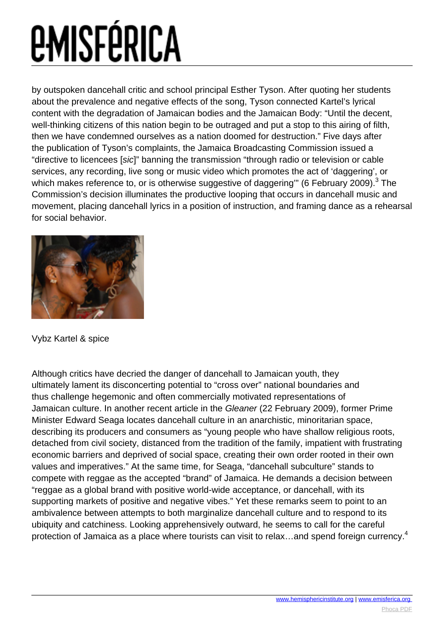# *<u>EMISFÉRICA</u>*

by outspoken dancehall critic and school principal Esther Tyson. After quoting her students about the prevalence and negative effects of the song, Tyson connected Kartel's lyrical content with the degradation of Jamaican bodies and the Jamaican Body: "Until the decent, well-thinking citizens of this nation begin to be outraged and put a stop to this airing of filth, then we have condemned ourselves as a nation doomed for destruction." Five days after the publication of Tyson's complaints, the Jamaica Broadcasting Commission issued a "directive to licencees [sic]" banning the transmission "through radio or television or cable services, any recording, live song or music video which promotes the act of 'daggering', or which makes reference to, or is otherwise suggestive of daggering'" (6 February 2009). $^3$  The Commission's decision illuminates the productive looping that occurs in dancehall music and movement, placing dancehall lyrics in a position of instruction, and framing dance as a rehearsal for social behavior.



Vybz Kartel & spice

Although critics have decried the danger of dancehall to Jamaican youth, they ultimately lament its disconcerting potential to "cross over" national boundaries and thus challenge hegemonic and often commercially motivated representations of Jamaican culture. In another recent article in the Gleaner (22 February 2009), former Prime Minister Edward Seaga locates dancehall culture in an anarchistic, minoritarian space, describing its producers and consumers as "young people who have shallow religious roots, detached from civil society, distanced from the tradition of the family, impatient with frustrating economic barriers and deprived of social space, creating their own order rooted in their own values and imperatives." At the same time, for Seaga, "dancehall subculture" stands to compete with reggae as the accepted "brand" of Jamaica. He demands a decision between "reggae as a global brand with positive world-wide acceptance, or dancehall, with its supporting markets of positive and negative vibes." Yet these remarks seem to point to an ambivalence between attempts to both marginalize dancehall culture and to respond to its ubiquity and catchiness. Looking apprehensively outward, he seems to call for the careful protection of Jamaica as a place where tourists can visit to relax...and spend foreign currency.<sup>4</sup>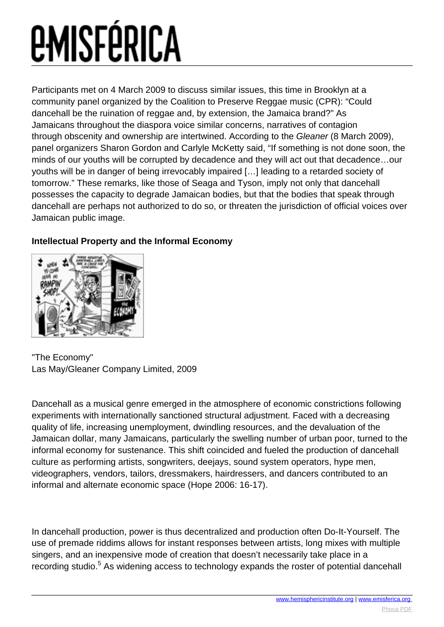Participants met on 4 March 2009 to discuss similar issues, this time in Brooklyn at a community panel organized by the Coalition to Preserve Reggae music (CPR): "Could dancehall be the ruination of reggae and, by extension, the Jamaica brand?" As Jamaicans throughout the diaspora voice similar concerns, narratives of contagion through obscenity and ownership are intertwined. According to the Gleaner (8 March 2009), panel organizers Sharon Gordon and Carlyle McKetty said, "If something is not done soon, the minds of our youths will be corrupted by decadence and they will act out that decadence…our youths will be in danger of being irrevocably impaired […] leading to a retarded society of tomorrow." These remarks, like those of Seaga and Tyson, imply not only that dancehall possesses the capacity to degrade Jamaican bodies, but that the bodies that speak through dancehall are perhaps not authorized to do so, or threaten the jurisdiction of official voices over Jamaican public image.



#### **Intellectual Property and the Informal Economy**

"The Economy" Las May/Gleaner Company Limited, 2009

Dancehall as a musical genre emerged in the atmosphere of economic constrictions following experiments with internationally sanctioned structural adjustment. Faced with a decreasing quality of life, increasing unemployment, dwindling resources, and the devaluation of the Jamaican dollar, many Jamaicans, particularly the swelling number of urban poor, turned to the informal economy for sustenance. This shift coincided and fueled the production of dancehall culture as performing artists, songwriters, deejays, sound system operators, hype men, videographers, vendors, tailors, dressmakers, hairdressers, and dancers contributed to an informal and alternate economic space (Hope 2006: 16-17).

In dancehall production, power is thus decentralized and production often Do-It-Yourself. The use of premade riddims allows for instant responses between artists, long mixes with multiple singers, and an inexpensive mode of creation that doesn't necessarily take place in a recording studio.<sup>5</sup> As widening access to technology expands the roster of potential dancehall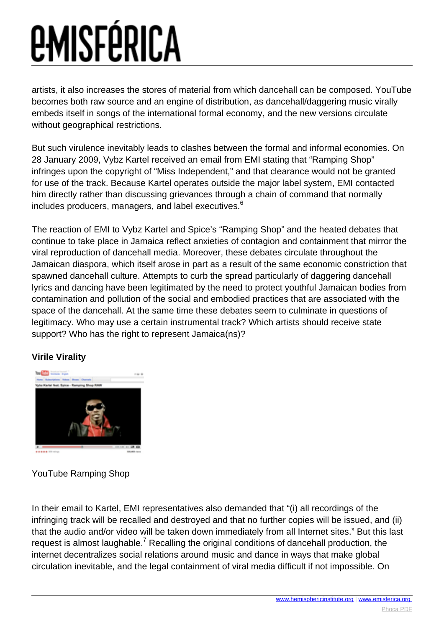artists, it also increases the stores of material from which dancehall can be composed. YouTube becomes both raw source and an engine of distribution, as dancehall/daggering music virally embeds itself in songs of the international formal economy, and the new versions circulate without geographical restrictions.

But such virulence inevitably leads to clashes between the formal and informal economies. On 28 January 2009, Vybz Kartel received an email from EMI stating that "Ramping Shop" infringes upon the copyright of "Miss Independent," and that clearance would not be granted for use of the track. Because Kartel operates outside the major label system, EMI contacted him directly rather than discussing grievances through a chain of command that normally includes producers, managers, and label executives.<sup>6</sup>

The reaction of EMI to Vybz Kartel and Spice's "Ramping Shop" and the heated debates that continue to take place in Jamaica reflect anxieties of contagion and containment that mirror the viral reproduction of dancehall media. Moreover, these debates circulate throughout the Jamaican diaspora, which itself arose in part as a result of the same economic constriction that spawned dancehall culture. Attempts to curb the spread particularly of daggering dancehall lyrics and dancing have been legitimated by the need to protect youthful Jamaican bodies from contamination and pollution of the social and embodied practices that are associated with the space of the dancehall. At the same time these debates seem to culminate in questions of legitimacy. Who may use a certain instrumental track? Which artists should receive state support? Who has the right to represent Jamaica(ns)?

#### **Virile Virality**



#### YouTube Ramping Shop

In their email to Kartel, EMI representatives also demanded that "(i) all recordings of the infringing track will be recalled and destroyed and that no further copies will be issued, and (ii) that the audio and/or video will be taken down immediately from all Internet sites." But this last request is almost laughable.<sup>7</sup> Recalling the original conditions of dancehall production, the internet decentralizes social relations around music and dance in ways that make global circulation inevitable, and the legal containment of viral media difficult if not impossible. On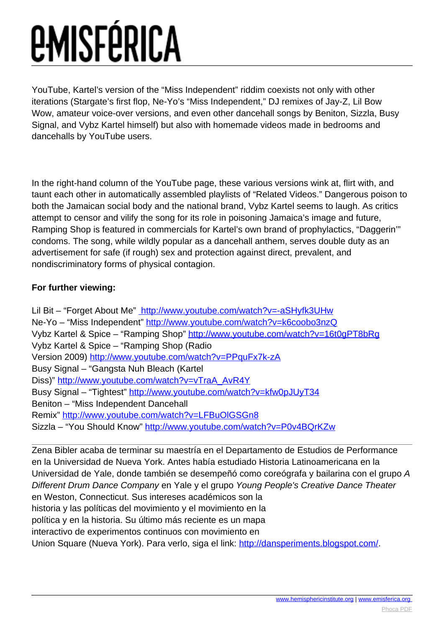YouTube, Kartel's version of the "Miss Independent" riddim coexists not only with other iterations (Stargate's first flop, Ne-Yo's "Miss Independent," DJ remixes of Jay-Z, Lil Bow Wow, amateur voice-over versions, and even other dancehall songs by Beniton, Sizzla, Busy Signal, and Vybz Kartel himself) but also with homemade videos made in bedrooms and dancehalls by YouTube users.

In the right-hand column of the YouTube page, these various versions wink at, flirt with, and taunt each other in automatically assembled playlists of "Related Videos." Dangerous poison to both the Jamaican social body and the national brand, Vybz Kartel seems to laugh. As critics attempt to censor and vilify the song for its role in poisoning Jamaica's image and future, Ramping Shop is featured in commercials for Kartel's own brand of prophylactics, "Daggerin'" condoms. The song, while wildly popular as a dancehall anthem, serves double duty as an advertisement for safe (if rough) sex and protection against direct, prevalent, and nondiscriminatory forms of physical contagion.

#### **For further viewing:**

Lil Bit – "Forget About Me" <http://www.youtube.com/watch?v=-aSHyfk3UHw> Ne-Yo – "Miss Independent" <http://www.youtube.com/watch?v=k6coobo3nzQ> Vybz Kartel & Spice – "Ramping Shop" <http://www.youtube.com/watch?v=16t0gPT8bRg> Vybz Kartel & Spice – "Ramping Shop (Radio Version 2009) <http://www.youtube.com/watch?v=PPquFx7k-zA> Busy Signal – "Gangsta Nuh Bleach (Kartel Diss)" [http://www.youtube.com/watch?v=vTraA\\_AvR4Y](http://www.youtube.com/watch?v=vTraA_AvR4Y) Busy Signal – "Tightest"<http://www.youtube.com/watch?v=kfw0pJUyT34> Beniton – "Miss Independent Dancehall Remix" <http://www.youtube.com/watch?v=LFBuOlGSGn8> Sizzla – "You Should Know" [http://www.youtube.com/watch?v=P0v4BQrKZw](http://www.youtube.com/watch?v=P0v4BQrKZww)

Zena Bibler acaba de terminar su maestría en el Departamento de Estudios de Performance en la Universidad de Nueva York. Antes había estudiado Historia Latinoamericana en la Universidad de Yale, donde también se desempeñó como coreógrafa y bailarina con el grupo A Different Drum Dance Company en Yale y el grupo Young People's Creative Dance Theater en Weston, Connecticut. Sus intereses académicos son la historia y las políticas del movimiento y el movimiento en la política y en la historia. Su último más reciente es un mapa interactivo de experimentos continuos con movimiento en Union Square (Nueva York). Para verlo, siga el link: <http://dansperiments.blogspot.com/>.